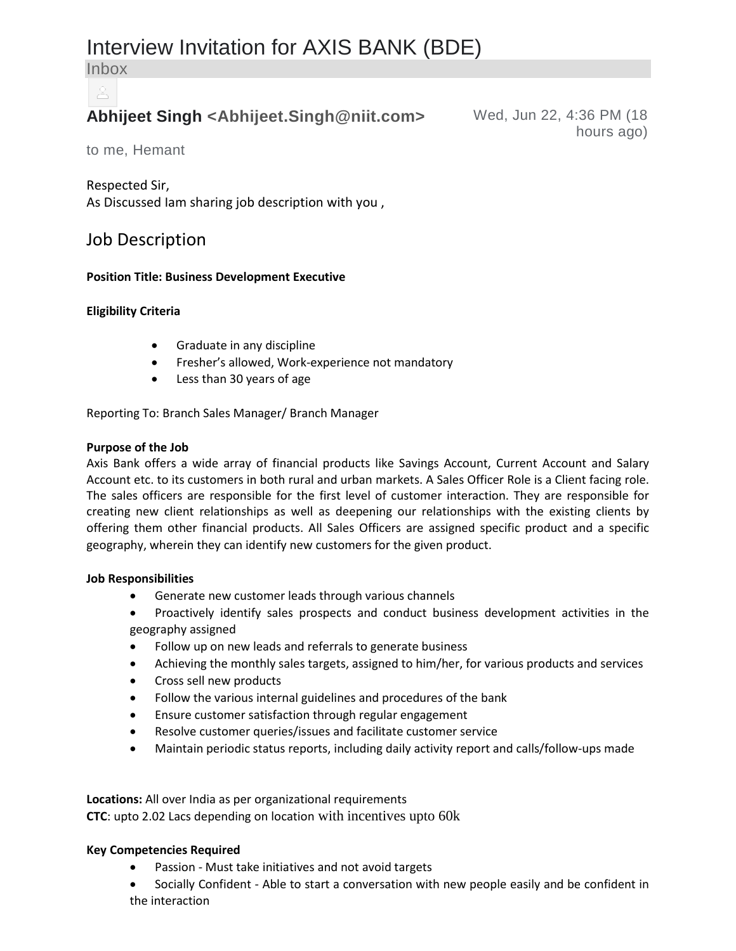# Interview Invitation for AXIS BANK (BDE)

Inbox

## **Abhijeet Singh <Abhijeet.Singh@niit.com>** Wed, Jun 22, 4:36 PM (18

hours ago)

to me, Hemant

#### Respected Sir,

As Discussed Iam sharing job description with you ,

### Job Description

#### **Position Title: Business Development Executive**

#### **Eligibility Criteria**

- Graduate in any discipline
- Fresher's allowed, Work-experience not mandatory
- Less than 30 years of age

Reporting To: Branch Sales Manager/ Branch Manager

#### **Purpose of the Job**

Axis Bank offers a wide array of financial products like Savings Account, Current Account and Salary Account etc. to its customers in both rural and urban markets. A Sales Officer Role is a Client facing role. The sales officers are responsible for the first level of customer interaction. They are responsible for creating new client relationships as well as deepening our relationships with the existing clients by offering them other financial products. All Sales Officers are assigned specific product and a specific geography, wherein they can identify new customers for the given product.

#### **Job Responsibilities**

- Generate new customer leads through various channels
- Proactively identify sales prospects and conduct business development activities in the geography assigned
- Follow up on new leads and referrals to generate business
- Achieving the monthly sales targets, assigned to him/her, for various products and services
- Cross sell new products
- Follow the various internal guidelines and procedures of the bank
- Ensure customer satisfaction through regular engagement
- Resolve customer queries/issues and facilitate customer service
- Maintain periodic status reports, including daily activity report and calls/follow-ups made

**Locations:** All over India as per organizational requirements **CTC**: upto 2.02 Lacs depending on location with incentives upto 60k

#### **Key Competencies Required**

- Passion Must take initiatives and not avoid targets
- Socially Confident Able to start a conversation with new people easily and be confident in the interaction